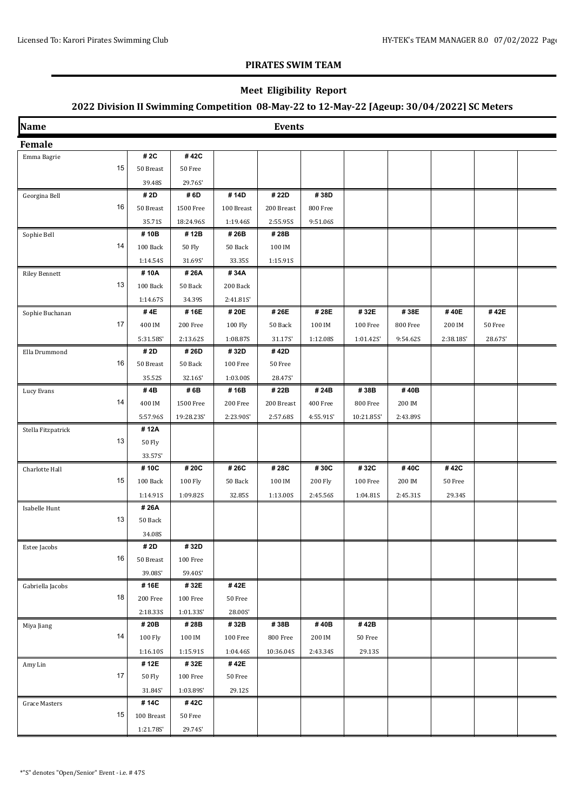### **Meet Eligibility Report**

| Name                 |                     |                   |                 | <b>Events</b> |           |            |          |           |         |  |
|----------------------|---------------------|-------------------|-----------------|---------------|-----------|------------|----------|-----------|---------|--|
| <b>Female</b>        |                     |                   |                 |               |           |            |          |           |         |  |
| Emma Bagrie          | # 2C                | #42C              |                 |               |           |            |          |           |         |  |
|                      | 15<br>50 Breast     | 50 Free           |                 |               |           |            |          |           |         |  |
|                      | 39.48S              | 29.76S'           |                 |               |           |            |          |           |         |  |
| Georgina Bell        | # 2D                | #6D               | #14D            | #22D          | #38D      |            |          |           |         |  |
|                      | 16<br>50 Breast     | 1500 Free         | 100 Breast      | 200 Breast    | 800 Free  |            |          |           |         |  |
|                      | 35.71S              | 18:24.96S         | 1:19.46S        | 2:55.95S      | 9:51.06S  |            |          |           |         |  |
| Sophie Bell          | #10B                | #12B              | #26B            | #28B          |           |            |          |           |         |  |
|                      | 14<br>100 Back      | 50 Fly            | 50 Back         | 100 IM        |           |            |          |           |         |  |
|                      | 1:14.54S            | 31.69S'           | 33.35S          | 1:15.91S      |           |            |          |           |         |  |
| <b>Riley Bennett</b> | #10A                | #26A              | #34A            |               |           |            |          |           |         |  |
|                      | 13<br>100 Back      | 50 Back           | 200 Back        |               |           |            |          |           |         |  |
|                      | 1:14.67S            | 34.39S            | 2:41.81S'       |               |           |            |          |           |         |  |
| Sophie Buchanan      | #4E                 | #16E              | # 20E           | # 26E         | #28E      | #32E       | #38E     | #40E      | #42E    |  |
|                      | 17<br>400 IM        | 200 Free          | 100 Fly         | 50 Back       | 100 IM    | 100 Free   | 800 Free | 200 IM    | 50 Free |  |
|                      | 5:31.58S'           | 2:13.62S          | 1:08.87S        | 31.17S'       | 1:12.08S  | 1:01.42S   | 9:54.62S | 2:38.185' | 28.67S' |  |
| Ella Drummond        | # 2D                | #26D              | #32D            | #42D          |           |            |          |           |         |  |
|                      | 16<br>50 Breast     | 50 Back           | 100 Free        | 50 Free       |           |            |          |           |         |  |
|                      | 35.52S              | 32.16S'           | 1:03.00S        | 28.47S'       |           |            |          |           |         |  |
| Lucy Evans           | #4B                 | #6B               | #16B            | # 22B         | #24B      | #38B       | #40B     |           |         |  |
|                      | 14<br>400 IM        | 1500 Free         | 200 Free        | 200 Breast    | 400 Free  | 800 Free   | 200 IM   |           |         |  |
|                      | 5:57.96S            | 19:28.23S'        | 2:23.90S'       | 2:57.68S      | 4:55.91S' | 10:21.85S' | 2:43.89S |           |         |  |
| Stella Fitzpatrick   | #12A                |                   |                 |               |           |            |          |           |         |  |
|                      | 13<br>50 Fly        |                   |                 |               |           |            |          |           |         |  |
|                      | 33.57S'             |                   |                 |               |           |            |          |           |         |  |
| Charlotte Hall       | #10C                | #20C              | # 26C           | #28C          | #30C      | #32C       | #40C     | #42C      |         |  |
|                      | 15<br>100 Back      | 100 Fly           | 50 Back         | 100 IM        | 200 Fly   | 100 Free   | 200 IM   | 50 Free   |         |  |
|                      | 1:14.91S            | 1:09.82S          | 32.85S          | 1:13.00S      | 2:45.56S  | 1:04.815   | 2:45.31S | 29.34S    |         |  |
| Isabelle Hunt        | #26A                |                   |                 |               |           |            |          |           |         |  |
|                      | 13<br>50 Back       |                   |                 |               |           |            |          |           |         |  |
|                      | 34.08S              |                   |                 |               |           |            |          |           |         |  |
| Estee Jacobs         | # 2D<br>16          | #32D              |                 |               |           |            |          |           |         |  |
|                      | 50 Breast           | 100 Free          |                 |               |           |            |          |           |         |  |
|                      | 39.08S'<br>#16E     | 59.40S'<br>#32E   | #42E            |               |           |            |          |           |         |  |
| Gabriella Jacobs     | 18<br>200 Free      | 100 Free          | 50 Free         |               |           |            |          |           |         |  |
|                      |                     |                   |                 |               |           |            |          |           |         |  |
|                      | 2:18.335<br>#20B    | 1:01.335'<br>#28B | 28.00S'<br>#32B | #38B          | #40B      | #42B       |          |           |         |  |
| Miya Jiang           | 14<br>100 Fly       | 100 IM            | 100 Free        | 800 Free      | 200 IM    | 50 Free    |          |           |         |  |
|                      | 1:16.10S            | 1:15.91S          | 1:04.46S        | 10:36.04S     | 2:43.34S  | 29.13S     |          |           |         |  |
|                      | #12E                | #32E              | #42E            |               |           |            |          |           |         |  |
| Amy Lin              | 17<br><b>50 Fly</b> | 100 Free          | 50 Free         |               |           |            |          |           |         |  |
|                      | 31.84S'             | 1:03.89S          | 29.12S          |               |           |            |          |           |         |  |
| Grace Masters        | #14C                | #42C              |                 |               |           |            |          |           |         |  |
|                      | 15<br>100 Breast    | 50 Free           |                 |               |           |            |          |           |         |  |
|                      |                     |                   |                 |               |           |            |          |           |         |  |
|                      | 1:21.785'           | 29.74S'           |                 |               |           |            |          |           |         |  |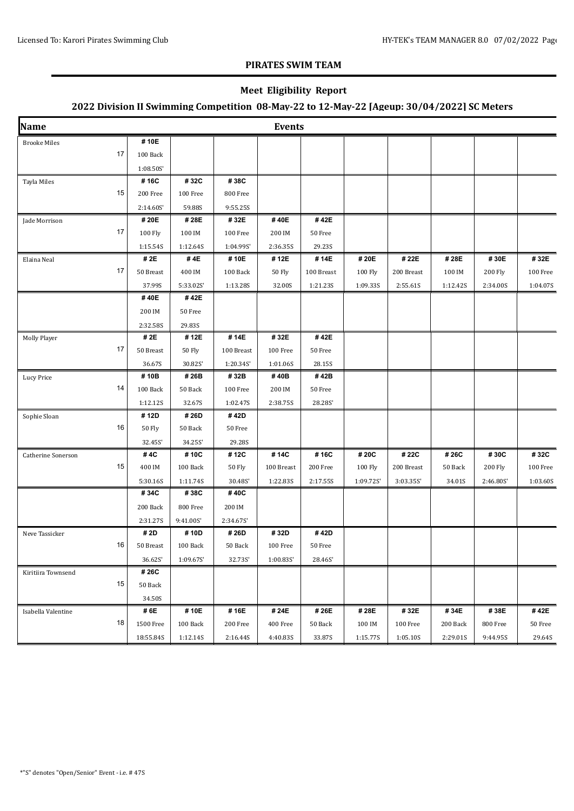### **Meet Eligibility Report**

| Name                |           |               |            | <b>Events</b> |            |          |            |          |                |          |
|---------------------|-----------|---------------|------------|---------------|------------|----------|------------|----------|----------------|----------|
| <b>Brooke Miles</b> | #10E      |               |            |               |            |          |            |          |                |          |
| 17                  | 100 Back  |               |            |               |            |          |            |          |                |          |
|                     | 1:08.50S  |               |            |               |            |          |            |          |                |          |
| Tayla Miles         | #16C      | #32C          | #38C       |               |            |          |            |          |                |          |
| 15                  | 200 Free  | 100 Free      | 800 Free   |               |            |          |            |          |                |          |
|                     | 2:14.60S' | 59.88S        | 9:55.25S   |               |            |          |            |          |                |          |
| Jade Morrison       | #20E      | #28E          | #32E       | #40E          | #42E       |          |            |          |                |          |
| 17                  | 100 Fly   | 100 IM        | 100 Free   | 200 IM        | 50 Free    |          |            |          |                |          |
|                     | 1:15.54S  | 1:12.64S      | 1:04.99S   | 2:36.35S      | 29.23S     |          |            |          |                |          |
| Elaina Neal         | # 2E      | #4E           | #10E       | #12E          | #14E       | #20E     | # 22E      | #28E     | #30E           | #32E     |
| 17                  | 50 Breast | 400 IM        | 100 Back   | 50 Fly        | 100 Breast | 100 Fly  | 200 Breast | 100 IM   | <b>200 Fly</b> | 100 Free |
|                     | 37.99S    | 5:33.02S      | 1:13.28S   | 32.00S        | 1:21.23S   | 1:09.33S | 2:55.61S   | 1:12.42S | 2:34.00S       | 1:04.07S |
|                     | #40E      | #42E          |            |               |            |          |            |          |                |          |
|                     | 200 IM    | 50 Free       |            |               |            |          |            |          |                |          |
|                     | 2:32.58S  | 29.83S        |            |               |            |          |            |          |                |          |
| Molly Player        | # 2E      | #12E          | #14E       | #32E          | #42E       |          |            |          |                |          |
| 17                  | 50 Breast | <b>50 Fly</b> | 100 Breast | 100 Free      | 50 Free    |          |            |          |                |          |
|                     | 36.67S    | 30.82S'       | 1:20.34S'  | 1:01.06S      | 28.15S     |          |            |          |                |          |
| Lucy Price          | #10B      | #26B          | #32B       | #40B          | #42B       |          |            |          |                |          |
| 14                  | 100 Back  | 50 Back       | 100 Free   | 200 IM        | 50 Free    |          |            |          |                |          |
|                     | 1:12.12S  | 32.67S        | 1:02.47S   | 2:38.755      | 28.28S'    |          |            |          |                |          |
| Sophie Sloan        | #12D      | #26D          | #42D       |               |            |          |            |          |                |          |
| 16                  | 50 Fly    | 50 Back       | 50 Free    |               |            |          |            |          |                |          |
|                     | 32.45S'   | 34.25S'       | 29.28S     |               |            |          |            |          |                |          |
| Catherine Sonerson  | #4C       | #10C          | #12C       | #14C          | #16C       | # 20C    | # 22C      | # 26C    | #30C           | #32C     |
| 15                  | 400 IM    | 100 Back      | 50 Fly     | 100 Breast    | 200 Free   | 100 Fly  | 200 Breast | 50 Back  | <b>200 Fly</b> | 100 Free |
|                     | 5:30.16S  | 1:11.74S      | 30.48S'    | 1:22.83S      | 2:17.55S   | 1:09.72S | 3:03.355   | 34.01S   | 2:46.80S       | 1:03.60S |
|                     | #34C      | #38C          | #40C       |               |            |          |            |          |                |          |
|                     | 200 Back  | 800 Free      | 200 IM     |               |            |          |            |          |                |          |
|                     | 2:31.27S  | 9:41.00S      | 2:34.67S   |               |            |          |            |          |                |          |
| Neve Tassicker      | # 2D      | #10D          | # 26D      | #32D          | #42D       |          |            |          |                |          |
| 16                  | 50 Breast | 100 Back      | 50 Back    | 100 Free      | 50 Free    |          |            |          |                |          |
|                     | 36.62S'   | 1:09.67S      | 32.73S'    | 1:00.835'     | 28.46S'    |          |            |          |                |          |
| Kiritiira Townsend  | #26C      |               |            |               |            |          |            |          |                |          |
| 15                  | 50 Back   |               |            |               |            |          |            |          |                |          |
|                     | 34.50S    |               |            |               |            |          |            |          |                |          |
| Isabella Valentine  | # 6E      | #10E          | #16E       | # 24E         | #26E       | #28E     | #32E       | #34E     | #38E           | #42E     |
| 18                  | 1500 Free | 100 Back      | 200 Free   | 400 Free      | 50 Back    | 100 IM   | 100 Free   | 200 Back | 800 Free       | 50 Free  |
|                     | 18:55.84S | 1:12.14S      | 2:16.44S   | 4:40.83S      | 33.87S     | 1:15.77S | 1:05.10S   | 2:29.01S | 9:44.95S       | 29.64S   |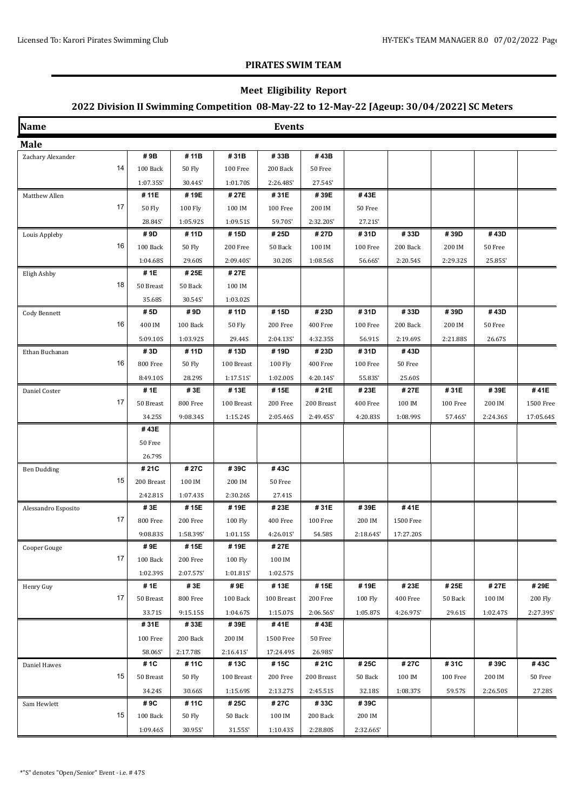### **Meet Eligibility Report**

| Name                |                     |               |                      | <b>Events</b> |            |           |           |          |          |           |
|---------------------|---------------------|---------------|----------------------|---------------|------------|-----------|-----------|----------|----------|-----------|
| <b>Male</b>         |                     |               |                      |               |            |           |           |          |          |           |
| Zachary Alexander   | #9B                 | #11B          | #31B                 | #33B          | #43B       |           |           |          |          |           |
|                     | 14<br>100 Back      | 50 Fly        | $100\,\mathrm{Free}$ | 200 Back      | 50 Free    |           |           |          |          |           |
|                     | 1:07.35S            | 30.44S'       | 1:01.70S             | 2:26.48S      | 27.54S'    |           |           |          |          |           |
| Matthew Allen       | #11E                | #19E          | # 27E                | #31E          | #39E       | #43E      |           |          |          |           |
|                     | 17<br><b>50 Fly</b> | 100 Fly       | 100 IM               | 100 Free      | 200 IM     | 50 Free   |           |          |          |           |
|                     | 28.84S'             | 1:05.92S      | 1:09.51S             | 59.70S'       | 2:32.20S'  | 27.21S'   |           |          |          |           |
| Louis Appleby       | #9D                 | #11D          | #15D                 | # 25D         | #27D       | #31D      | #33D      | #39D     | #43D     |           |
|                     | 16<br>100 Back      | <b>50 Fly</b> | 200 Free             | 50 Back       | 100 IM     | 100 Free  | 200 Back  | 200 IM   | 50 Free  |           |
|                     | 1:04.68S            | 29.60S        | 2:09.40S             | 30.20S        | 1:08.56S   | 56.66S'   | 2:20.54S  | 2:29.32S | 25.85S'  |           |
| Eligh Ashby         | #1E                 | #25E          | # 27E                |               |            |           |           |          |          |           |
|                     | 18<br>50 Breast     | 50 Back       | 100 IM               |               |            |           |           |          |          |           |
|                     | 35.68S              | 30.54S'       | 1:03.02S             |               |            |           |           |          |          |           |
| Cody Bennett        | #5D                 | #9D           | #11D                 | #15D          | #23D       | #31D      | #33D      | #39D     | #43D     |           |
|                     | 16<br>400 IM        | 100 Back      | 50 Fly               | 200 Free      | 400 Free   | 100 Free  | 200 Back  | 200 IM   | 50 Free  |           |
|                     | 5:09.10S            | 1:03.92S      | 29.44S               | 2:04.13S'     | 4:32.35S   | 56.91S    | 2:19.69S  | 2:21.88S | 26.67S   |           |
| Ethan Buchanan      | #3D                 | #11D          | #13D                 | #19D          | #23D       | #31D      | #43D      |          |          |           |
|                     | 16<br>800 Free      | 50 Fly        | 100 Breast           | 100 Fly       | 400 Free   | 100 Free  | 50 Free   |          |          |           |
|                     | 8:49.10S            | 28.29S        | 1:17.515             | 1:02.00S      | 4:20.14S'  | 55.83S'   | 25.60S    |          |          |           |
| Daniel Coster       | #1E                 | #3E           | #13E                 | #15E          | #21E       | #23E      | # 27E     | #31E     | #39E     | #41E      |
|                     | 17<br>50 Breast     | 800 Free      | 100 Breast           | 200 Free      | 200 Breast | 400 Free  | 100 IM    | 100 Free | 200 IM   | 1500 Free |
|                     | 34.25S              | 9:08.34S      | 1:15.24S             | 2:05.46S      | 2:49.45S'  | 4:20.835  | 1:08.99S  | 57.46S'  | 2:24.36S | 17:05.64S |
|                     | #43E                |               |                      |               |            |           |           |          |          |           |
|                     | 50 Free             |               |                      |               |            |           |           |          |          |           |
|                     | 26.79S              |               |                      |               |            |           |           |          |          |           |
| <b>Ben Dudding</b>  | #21C                | #27C          | #39C                 | #43C          |            |           |           |          |          |           |
|                     | 15<br>200 Breast    | 100 IM        | 200 IM               | 50 Free       |            |           |           |          |          |           |
|                     | 2:42.81S            | 1:07.43S      | 2:30.26S             | 27.41S        |            |           |           |          |          |           |
| Alessandro Esposito | #3E                 | #15E          | #19E                 | #23E          | #31E       | #39E      | #41E      |          |          |           |
|                     | 17<br>800 Free      | 200 Free      | 100 Fly              | 400 Free      | 100 Free   | 200 IM    | 1500 Free |          |          |           |
|                     | 9:08.83S            | 1:58.39S      | 1:01.15S             | 4:26.01S'     | 54.58S     | 2:18.64S  | 17:27.20S |          |          |           |
| Cooper Gouge        | #9E                 | #15E          | #19E                 | # 27E         |            |           |           |          |          |           |
|                     | 17<br>100 Back      | 200 Free      | 100 Fly              | 100 IM        |            |           |           |          |          |           |
|                     | 1:02.39S            | 2:07.57S      | 1:01.815             | 1:02.57S      |            |           |           |          |          |           |
| Henry Guy           | # 1E                | #3E           | #9E                  | #13E          | #15E       | #19E      | #23E      | #25E     | # 27E    | #29E      |
|                     | 17<br>50 Breast     | 800 Free      | 100 Back             | 100 Breast    | 200 Free   | 100 Fly   | 400 Free  | 50 Back  | 100 IM   | 200 Fly   |
|                     | 33.71S              | 9:15.15S      | 1:04.67S             | 1:15.07S      | 2:06.56S   | 1:05.87S  | 4:26.97S  | 29.61S   | 1:02.47S | 2:27.39S  |
|                     | #31E                | #33E          | #39E                 | #41E          | #43E       |           |           |          |          |           |
|                     | 100 Free            | 200 Back      | 200 IM               | 1500 Free     | 50 Free    |           |           |          |          |           |
|                     | 58.06S'             | 2:17.78S      | 2:16.41S             | 17:24.49S     | 26.98S'    |           |           |          |          |           |
| Daniel Hawes        | # 1C                | #11C          | #13C                 | #15C          | #21C       | # 25C     | # 27C     | #31C     | #39C     | #43C      |
|                     | 15<br>50 Breast     | 50 Fly        | 100 Breast           | 200 Free      | 200 Breast | 50 Back   | 100 IM    | 100 Free | 200 IM   | 50 Free   |
|                     | 34.24S              | 30.66S        | 1:15.69S             | 2:13.27S      | 2:45.51S   | 32.18S    | 1:08.37S  | 59.57S   | 2:26.50S | 27.28S    |
| Sam Hewlett         | #9C                 | #11C          | # 25C                | # 27C         | #33C       | #39C      |           |          |          |           |
|                     | 15<br>100 Back      | <b>50 Fly</b> | 50 Back              | 100 IM        | 200 Back   | 200 IM    |           |          |          |           |
|                     | 1:09.46S            | 30.95S'       | 31.55S'              | 1:10.43S      | 2:28.805   | 2:32.66S' |           |          |          |           |